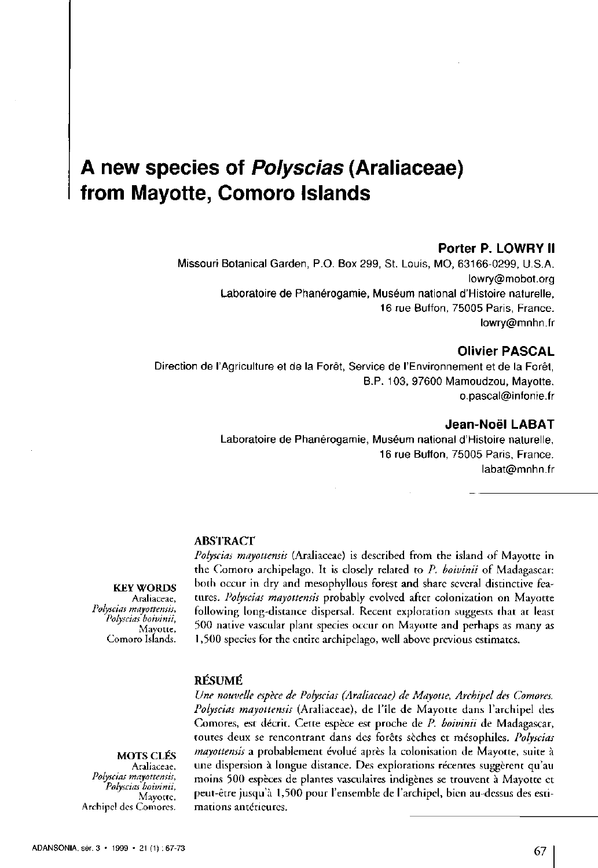# **A new species of Polyscias (Araliaceae) from Mayotte, Comoro Islands**

## **Porter P. LOWRY II**

Missouri Botanical Garden, P.O. Box 299, St. Louis, MO, 63166-0299, U.S.A. [lowry@mobot.org](mailto:lowry@mobot.org)  Laboratoire de Phanérogamie, Muséum national d'Histoire naturelle, 16 rue Buffon, 75005 Paris, France. [lowry@mnhn.fr](mailto:lowry@mnhn.fr) 

# **Olivier PASCAL**

Direction de l'Agriculture et de la Forêt, Service de l'Environnement et de la Forêt, B.P. 103, 97600 Mamoudzou, Mayotte. [o.pascal@infonie.fr](mailto:o.pascal@infonie.fr) 

## **Jean-Noël LABAT**

Laboratoire de Phanérogamie, Muséum national d'Histoire naturelle, 16 rue Buffon, 75005 Paris, France. [Iabat@mnhn.fr](mailto:Iabat@mnhn.fr) 

#### **ABSTRACT**

**KEY WORDS Araliaceae,**  *Polyscias mayottensis, Polyscias boivinii,*  **Mayotte, Comoro Islands.** 

*Polyscias mayottensis* (Araliaceae) is described from the island of Mayotte in the Comoro archipelago. It is closely related to *P. boivinii* of Madagascar: both occur in dry and mesophyllous forest and share several distinctive featutes. *Polyscias mayottensis* probably evolved after colonization on Mayotte following long-distance dispersal. Recent exploration suggests that at least 500 native vascular plant species occut on Mayotte and perhaps as many as 1,500 species for the entire archipelago, well above previous estimates.

# **RESUME**

**MOTS CLÉS** 

**Araliaceae,**  *Polyscias mayottensis, Polyscias boivinii,*  **Mayotte, Archipel des Comores.** 

*Une nouvelle espèce de Polyscias (Araliaceae) de Mayotte, Archipel des Comores. Polyscias mayottensis* (Araliaceae), de l'île de Mayotte dans l'atchipel des Comores, est décrit. Cette espèce est proche de *P. boivinii* de Madagascar, toutes deux se renconttant dans des forêts sèches et mésophiles. *Polyscias mayottensis* a probablement évolué après la colonisation de Mayotte, suite à une dispersion à longue distance. Des explorations récentes suggèrent qu'au moins 500 espèces de plantes vasculaires indigènes se trouvent à Mayotte et peut-être jusqu'à 1,500 pour l'ensemble de l'archipel, bien au-dessus des estimations antérieures.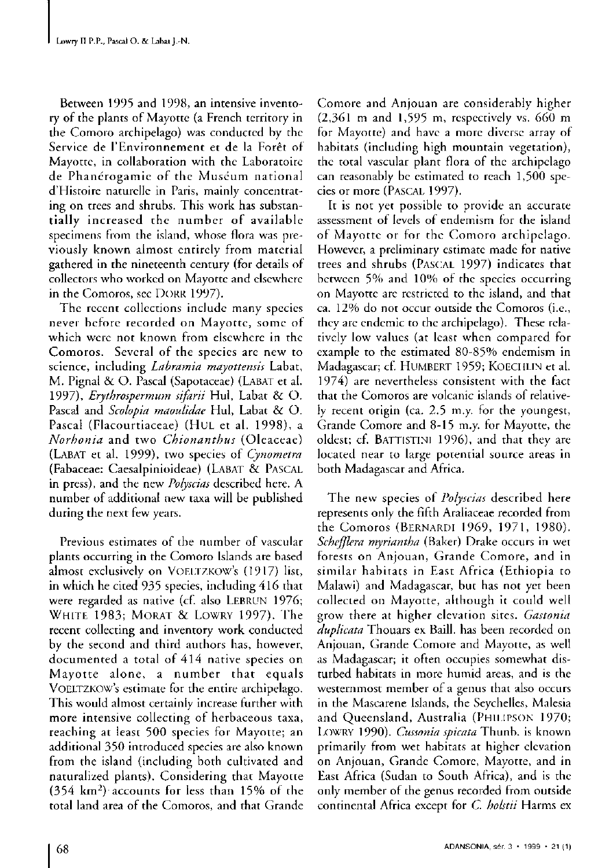Between 1995 and 1998, an intensive inventory of the plants of Mayotte (a French territory in the Comoro archipelago) was conducted by the Service de l'Environnement et de la Forêt of Mayotte, in collaboration with the Laboratoire de Phanérogamie of the Muséum national d'Histoire naturelle in Paris, mainly concentrating on trees and shrubs. This work has substantially increased the number of available specimens from the island, whose flora was previously known almost entirely from material gathered in the nineteenth century (for details of collectors who worked on Mayotte and elsewhere in the Comoros, see DORR 1997).

The recent collections include many species never before recorded on Mayotte, some of which were not known from elsewhere in the Comoros. Several of the species are new to science, including *Labramia mayottensis* Labat, M. Pignal & O. Pascal (Sapotaceae) (LABAT et al. 1997), *Erythrospermum sifarii* Hul, Labat & O. Pascal and *Scolopia maoulidae* Hul, Labat & O. Pascal (Flacourtiaceae) (HUL et al. 1998), a *Norhonia* and two *Chionanthus* (Oleaceae ) (LABAT et al. 1999), two species of *Cynometra* (Fabaceae: Caesalpinioideae) (LABAT & PASCAL in press), and the new *Polyscias* described here. A number of additional new taxa will be published during the next few years.

Previous estimates of the number of vascular plants occurring in the Comoro Islands are based almost exclusively on VOELTZKOW's (1917) list, in which he cited 935 species, including 416 that were regarded as native (cf. also LEBRUN 1976; WHITE 1983; MORAT & LOWRY 1997). The recent collecting and inventory work conducted by the second and third authors has, however, documented a total of 414 native species on Mayotte alone, a number that equals VOELTZKOW's estimate for the entire archipelago. This would almost certainly increase further with more intensive collecting of herbaceous taxa, reaching at least 500 species for Mayotte; an additional 350 introduced species are also known from the island (including both cultivated and naturalized plants). Considering that Mayotte (354 km²) accounts for less than  $15\%$  of the total land area of the Comoros, and that Grande Comore and Anjouan are considerably higher  $(2,361 \text{ m and } 1,595 \text{ m}, \text{ respectively vs. } 660 \text{ m}$ for Mayotte) and have a more diverse array of habitats (including high mountain vegetation), the total vascular plant flora of the archipelago can reasonably be estimated to reach 1,500 species or more (PASCAL 1997).

It is not yet possible to provide an accurate assessment of levels of endemism for the island of Mayotte or for the Comoro archipelago. However, a preliminary estimate made for native trees and shrubs (PASCAL 1997) indicates that between 5% and 10% of the species occurring on Mayotte are restricted to the island, and that ca. 12 % do not occur outside the Comoros (i.e., they are endemic to the archipelago). These relatively low values (at least when compared for example to the estimated 80-85% endemism in Madagascar; cf. HUMBERT 1959; KOECHLIN et al.  $1974$  are nevertheless consistent with the fact that the Comoros are volcanic islands of relatively recent origin (ca.  $2.5$  m.y. for the youngest, Grande Comore and 8-15 m.y. for Mayotte, the oldest; cf. BATTISTINI 1996), and that they are located near to large porential source areas in both Madagascar and Africa.

The new species of *Polyscias* described here represents only the fifth Araliaceae recorded from the Comoros (BERNARDI 1969, 1971, 1980). *Schefflera myriantha* (Baker) Drake occurs in wet forests on Anjouan, Grande Comore, and in similar habitats in East Africa (Ethiopia to Malawi) and Madagascar, but has not yet been collected on Mayotte, although it could well grow there at higher elevation sites. *Gastonia duplicata* Thouars ex Baill. has been recorded on Anjouan, Grande Comore and Mayotte, as well as Madagascar; it often occupies somewhat disturbed habitats in more humid areas, and is the westernmost member of a genus that also occurs in the Mascarene Islands, the Seychelles, Malesia and Queensland, Australia (PHILIPSON 1970; LOWRY 1990). *Cussonia spicata* Thunb. is known primarily from wet habitats at higher elevation on Anjouan, Grande Comore, Mayotte, and in East Africa (Sudan to South Africa), and is the only member of the genus recorded from outside continental Africa except for *C. holstii* Harms ex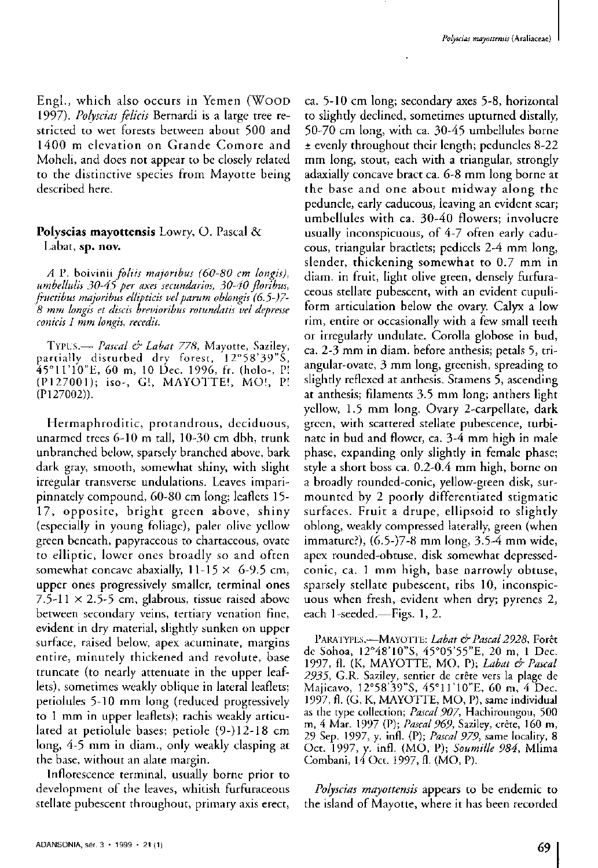Engl., which also occurs in Yemen (WOOD 1997). *Polyscias felicis* Bernardi is a large tree restricted to wet forests between about 500 and 1400 m elevation on Grande Comore and Moheli, and does not appear to be closely related to the distinctive species from Mayotte being described here.

# **Polyscias mayottensis** Lowry, O. Pascal & Labat, **sp. nov.**

*A* P. boivinii *foliis majoribus (60-80 cm longis), umbellulis 30-45 per axes secundarios, 30-40 floribus, fructibus majoribus ellipticis velparum oblongis (6.5-J7- 8 mm longis et discis brevioribus rotundatis vel depresse conicis 1 mm longis, recedit.* 

TYPUS. — *Pascal & Labat 778,* Mayotte, Saziley, pattially distutbed dry forest, 12°58'39"S , 45°11'10"E, 60 m, 10 Dec. 1996, fr. (holo-, P! (P127001); iso-, G!, MAYOTTE!, MO!, P! (P127002)).

Hermaphroditic, protandrous, deciduous, unarmed trees 6-10 m tall, 10-30 cm dbh, trunk unbranched below, sparsely branched above, bark dark gray, smooth, somewhat shiny, with slight irregular transverse undulations. Leaves imparipinnately compound,  $60-80$  cm long; leaflets  $15-$ 17, opposite, bright green above, shiny (especially in young foliage), paler olive yellow green beneath, papytaceous to chartaceous, ovate to elliptic, lowet ones btoadly so and often somewhat concave abaxially,  $11-15 \times 6-9.5$  cm, upper ones progressively smaller, terminal ones 7.5-11  $\times$  2.5-5 cm, glabrous, tissue raised above between secondary veins, tertiary venation fine, evident in dry material, slightly sunken on upper surface, raised below, apex acuminate, margins entire, minutely thickened and revolute, base truncate (to nearly attenuate in the upper leaflets), sometimes weakly oblique in lateral leaflets; petiolules 5-10 mm long (teduced progressively to 1 mm in upper leaflets); rachis weakly articulated at petiolule bases; petiole  $(9-)12-18$  cm long, 4-5 mm in diam., only weakly clasping at the base, without an alate margin.

Inflorescence terminal, usually borne prior to development of the leaves, whitish furfuraceous stellate pubescent throughout, primary axis erect,

ca. 5-10 cm long; secondary axes 5-8, horizontal to slightly declined, sometimes upturned distally, 50-70 cm long, with ca. 30-45 umbellules borne  $\pm$  evenly throughout their length; peduncles 8-22 mm long, stout, each with a triangular, strongly adaxially concave bract ca. 6-8 mm long borne at the base and one about midway along the peduncle, early caducous, leaving an evident scar; umbellules with ca. 30-40 flowers; involucre usually inconspicuous, of  $4-7$  often early caducous, triangular bractlets; pedicels 2-4 mm long, slender, thickening somewhat to 0.7 mm in diam. in fruit, light olive green, densely furfuraceous stellate pubescent, with an evident cupuliform articulation below the ovary. Calyx a low rim, entire or occasionally with a few small teeth or irregularly undulate. Corolla globose in bud, ca. 2-3 mm in diam. before anthesis; petals 5, triangular-ovate, 3 mm long, greenish, spreading to slightly reflexed at anthesis. Stamens 5, ascending at anthesis; filaments 3-5 mm long; anthers light yellow, 1.5 mm long. Ovary 2-carpellate, dark green, with scattered stellate pubescence, turbinate in bud and flower, ca. 3-4 mm high in male phase, expanding only slightly in female phase; style a short boss ca. 0.2-0.4 mm high, borne on a broadly rounded-conic, yellow-green disk, surmounted by 2 poorly differentiated stigmatic surfaces. Fruit a drupe, ellipsoid to slightly oblong, weakly compressed laterally, green (when immature?), (6.5-)7-8 mm long, 3.5-4 mm wide, apex rounded-obtuse, disk somewhat depressedconic, ca. 1 mm high, base narrowly obtuse, sparsely stellate pubescent, ribs 10, inconspicuous when fresh, evident when dry; pyrenes 2, each 1-seeded.—Figs. 1, 2.

PARATYPES.—MAYOTTE: *Labat & Pascal 2928*, Forêt de Sohoa, 12°48'10"S, 45°05'55"E, 20 m, 1 Dec. 1997, fl. (K, MAYOTTE, MO, P); *Labat & Pascal 2935,* G.R. Saziley, sentiet de crete vers la plage de Majicavo, 12°58'39"S, 45°11'10"E, 60 m, 4 Dec. 1997, fl. (G, K, MAYOTTE, MO, P), same individual as the type collection; *Pascal 907,* Hachitoungou, 500 m, 4 Mar. 1997 (P); *Pascal 969,* Saziley, crete, 160 m, 29 Sep. 1997, *y.* infl. (P); *Pascal 979,* same locality, 8 Oct. 1997, y. infl. (MO, P); Soumille 984, Mlima Combani, 14 Oct. 1997, fl. (MO, P).

*Polyscias mayottensis* appears to be endemic to the island of Mayotte, whete it has been recorded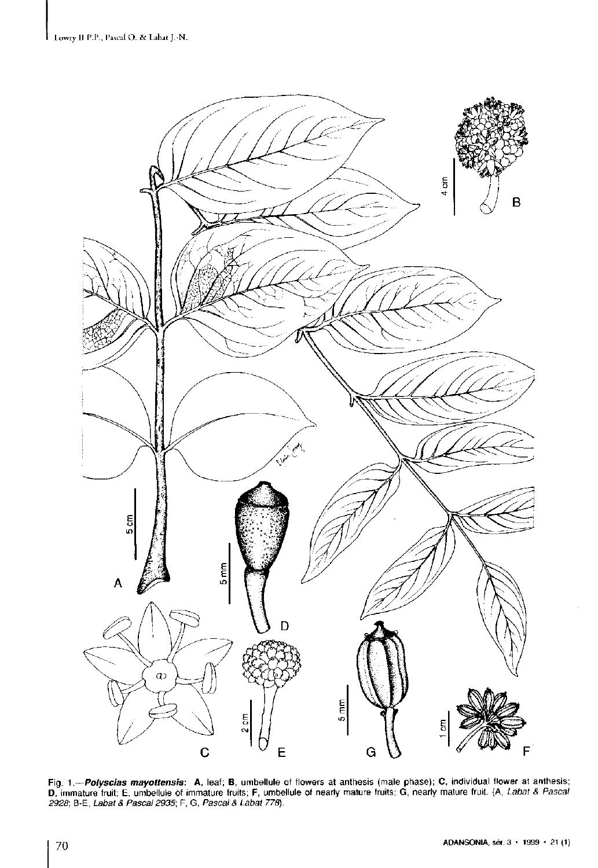

Fig. 1.—*Polyscias mayottensis*: A, leaf; B, umbellule of flowers at anthesis (male phase); C, individual flower at anthesis;<br>D, immature fruit; E, umbellule of immature fruits; F, umbellule of nearly mature fruits; G, ne *2928;* B-E, *Labat & Pascal 2935;* F, G, *Pascal & Labat 778).*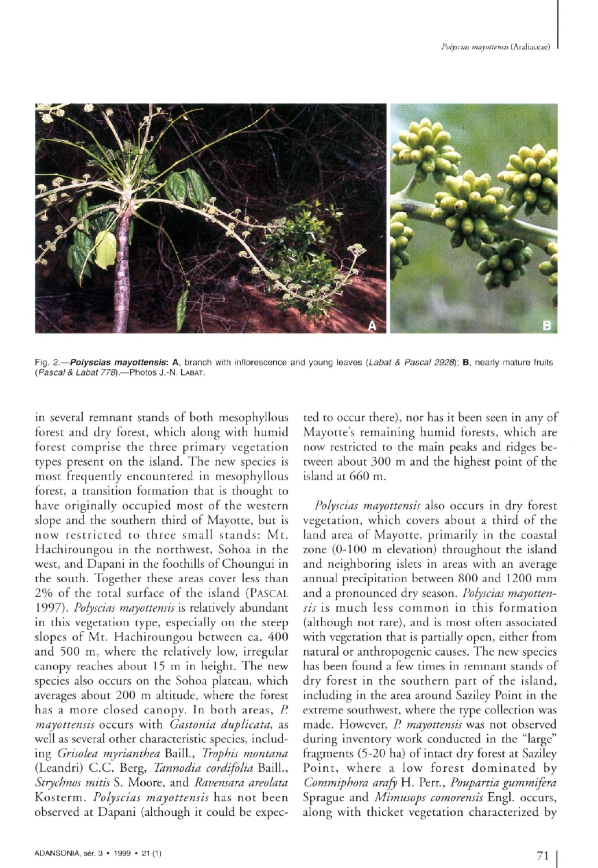

Fig. **2.—***Polyscia s mayottensis:* **A,** branch with inflorescence and young leaves *(Labat & Pascal 2928);* **B,** nearly mature fruits *(Pascals Labat 778).—*Photos J.-N. LABAT.

in several remnant stands of both mesophyllous forest and dry forest, which along with humid forest comprise the three primary vegetation types present on the island. The new species is most frequently encountered in mesophyllous forest, a transition formation that is thought to have originally occupied most of the western slope and the southern third of Mayotte, but is now restricted to three small stands: Mt . Hachiroungou in the northwest, Sohoa in the west, and Dapani in the foothills of Choungui in the south. Together these areas cover less than 2% of the total surface of the island (PASCAL 1997). *Polyscias mayottensis* is relatively abundant in this vegetation type, especially on the steep slopes of Mt. Hachiroungou between ca. 400 and 500 m, where the relatively low, irregular canopy reaches about 15 m in height. The new species also occurs on the Sohoa plateau, which averages about 200 m altitude, where the forest has a more closed canopy. In both areas, *P. mayottensis* occurs with *Gastonia duplicata,* as well as several other characteristic species, including *Grisolea myrianthea* Baill., *Trophis montana*  (Leandri) C.C. Berg, *Tannodia cordifolia* Baill., *Strychnos mitis* S. Moore, and *Ravensara areolata*  Kosterm. *Polyscias mayottensis* has not been observed at Dapani (although it could be expected to occur there), nor has it been seen in any of Mayotte's remaining humid forests, which are now restricted to the main peaks and ridges between about 300 m and the highest point of the island at  $660$  m.

*Polyscias mayottensis* also occurs in dry forest vegetation, which covers about a third of the land area of Mayotte, primarily in the coastal zone (0-100 m elevation) throughout the island and neighboring islets in areas with an average annual precipitation between 800 and 1200 mm and a pronounced dry season. *Polyscias mayottensis* is much less common in this formation (although not rare), and is most often associated with vegetation that is partially open, either from natural or anthropogenic causes. The new species has been found a few times in remnant stands of dry forest in the southern part of the island, including in the area around Saziley Point in the extreme southwest, where the type collection was made. However, *P. mayottensis* was not observed during inventory work conducted in the "large" fragments (5-20 ha) of intact dry forest at Saziley Point, where a low forest dominated by *Commiphora arajy* H. Perr., *Poupartia gummifera*  Sprague and *Mimusops comorensis* Engl, occurs, along with thicket vegetation characterized by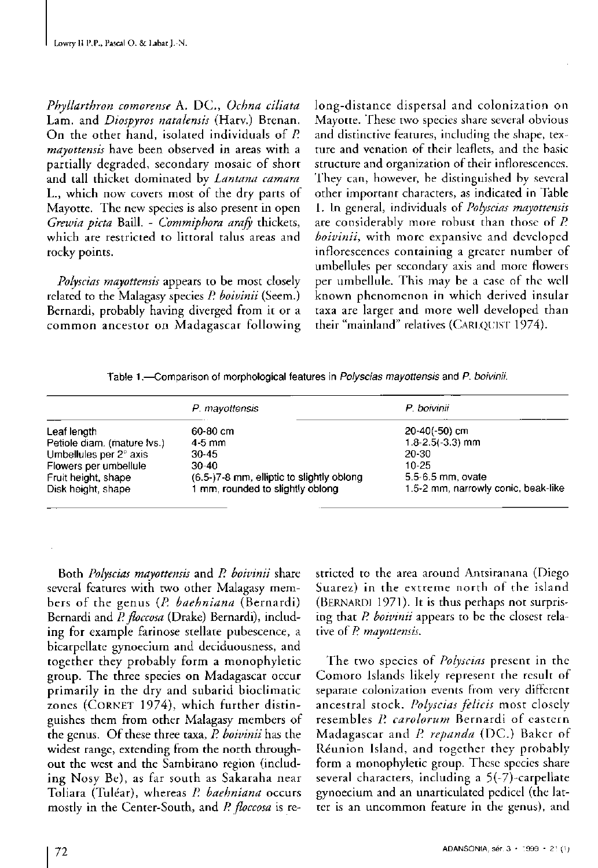*Phyllarthron comorense* A. DC , *Ochna ciliata*  Lam. and *Diospyros natalensis* (Harv.) Brenan. On the other hand, isolated individuals of P. *mayottensis* have been observed in areas with a partially degraded, secondary mosaic of short and tall thicket dominated by *Lantana camara*  L., which now covers most of the dry parts of Mayotte. The new species is also present in open *Grewia picta* Baill. - *Commiphora arafy* thickets, which are restricted to littoral talus areas and rocky points.

*Polyscias mayottensis* appears to be most closely telated to the Malagasy species *P. boivinii* (Seem.) Bernardi, probably having diverged from it or a common ancestor on Madagascar following

long-distance dispersal and colonization on Mayotte. These two species share several obvious and distinctive features, including the shape, texture and venation of their leaflets, and the basic structure and organization of their inflorescences. They can, however, be distinguished by several other important characters, as indicated in Table 1. In general, individuals of *Polyscias mayottensis*  are considerably more robust than those of P. *boivinii,* with more expansive and developed inflorescences containing a greater number of umbellules per secondary axis and more flowers per umbellule. This may be a case of the well known phenomenon in which derived insular taxa are larger and more well developed than their "mainland" relatives (CARLQUIST 1974).

Table 1.—Comparison of morphological features in *Polyscias mayottensis* and *P. boivinii.* 

|                             | P. mayottensis                            | P boivinii                          |
|-----------------------------|-------------------------------------------|-------------------------------------|
| Leaf length                 | 60-80 cm                                  | $20-40(-50)$ cm                     |
| Petiole diam. (mature lvs.) | 4-5 mm                                    | $1.8 - 2.5(-3.3)$ mm                |
| Umbellules per 2° axis      | 30-45                                     | 20-30                               |
| Flowers per umbellule       | $30-40$                                   | 10-25                               |
| Fruit height, shape         | (6.5-)7-8 mm, elliptic to slightly oblong | 5.5-6.5 mm, ovate                   |
| Disk height, shape          | I mm, rounded to slightly oblong.         | 1.5-2 mm, narrowly conic, beak-like |

Both *Polyscias mayottensis* and *P. boivinii* share several features with two other Malagasy members of the genus (P. baehniana (Bernardi) Bernardi and *P. floccosa* (Drake) Bernardi), including for example farinose stellate pubescence, a bicarpellate gynoecium and deciduousness, and together they probably form a monophyletic group. The three species on Madagascar occur primarily in the dry and subarid bioclimatic zones (CORNET 1974), which further distinguishes them from other Malagasy members of the genus. Of these three taxa, P. boivinii has the widest range, extending from the north throughout the west and the Sambirano region (including Nosy Be), as far south as Sakaraha near Toliara (Tulear), whereas *P. baehniana* occurs mostly in the Center-South, and *P. floccosa* is restricted to the area around Antsitanana (Diego Suarez) in the extreme north of the island (BERNARDI 1971). It is thus perhaps not surprising that *P. boivinii* appears to be the closest relative of *P. mayottensis.* 

The two species of *Polyscias* present in the Comoro Islands likely represent the result of separate colonization events from very different ancestral stock. *Polyscias felicis* most closely resembles P. carolorum Bernardi of castern Madagascar and *P. repanda* (DC.) Baker of Reunion Island, and togethet they probably form a monophyletic group. These species share several characters, including a 5(-7)-carpellate gynoecium and an unarticulated pedicel (the latter is an uncommon feature in the genus), and